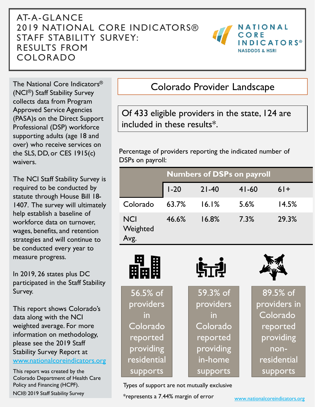#### AT-A-GLANCE 2019 NATIONAL CORE INDICATORS® STAFF STABILITY SURVEY: RESULTS FROM COLORADO



The National Core Indicators® (NCI®) Staff Stability Survey collects data from Program Approved Service Agencies (PASA)s on the Direct Support Professional (DSP) workforce supporting adults (age 18 and over) who receive services on the SLS, DD, or CES 1915(c) waivers.

The NCI Staff Stability Survey is required to be conducted by statute through House Bill 18- 1407. The survey will ultimately help establish a baseline of workforce data on turnover, wages, benefits, and retention strategies and will continue to be conducted every year to measure progress.

In 2019, 26 states plus DC participated in the Staff Stability Survey.

This report shows Colorado's data along with the NCI weighted average. For more information on methodology, please see the 2019 Staff Stability Survey Report at [www.nationalcoreindicators.org](http://www.nationalcoreindicators.org/)

This report was created by the Colorado Department of Health Care Policy and Financing (HCPF).

#### Colorado Provider Landscape

Of 433 eligible providers in the state, 124 are included in these results\*.

Percentage of providers reporting the indicated number of DSPs on payroll:

|                                | <b>Numbers of DSPs on payroll</b> |           |           |       |
|--------------------------------|-----------------------------------|-----------|-----------|-------|
|                                | $I - 20$                          | $21 - 40$ | $41 - 60$ | $61+$ |
| Colorado                       | 63.7%                             | 16.1%     | 5.6%      | 14.5% |
| <b>NCI</b><br>Weighted<br>Avg. | 46.6%                             | 16.8%     | 7.3%      | 29.3% |



Types of support are not mutually exclusive

NCI® 2019 Staff Stability Survey **Access 2019** \* represents a 7.44% margin of error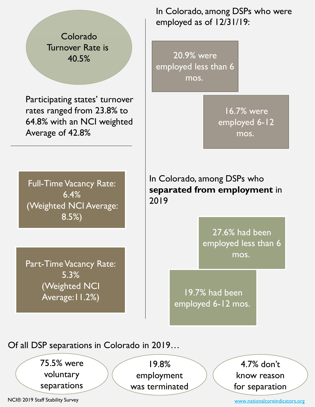Colorado Turnover Rate is 40.5%

Participating states' turnover rates ranged from 23.8% to 64.8% with an NCI weighted Average of 42.8%

In Colorado, among DSPs who were employed as of 12/31/19:

20.9% were employed less than 6 mos.

> 16.7% were employed 6-12 mos.

Full-Time Vacancy Rate: 6.4% (Weighted NCI Average: 8.5%)

Part-Time Vacancy Rate: 5.3% (Weighted NCI Average:11.2%)

In Colorado, among DSPs who **separated from employment** in 2019

> 27.6% had been employed less than 6 mos.

19.7% had been employed 6-12 mos.

Of all DSP separations in Colorado in 2019…

75.5% were voluntary separations

19.8% employment was terminated

4.7% don't know reason for separation

NCI® 2019 Staff Stability Survey

[www.nationalcoreindicators.org](http://www.nationalcoreindicators.org/)